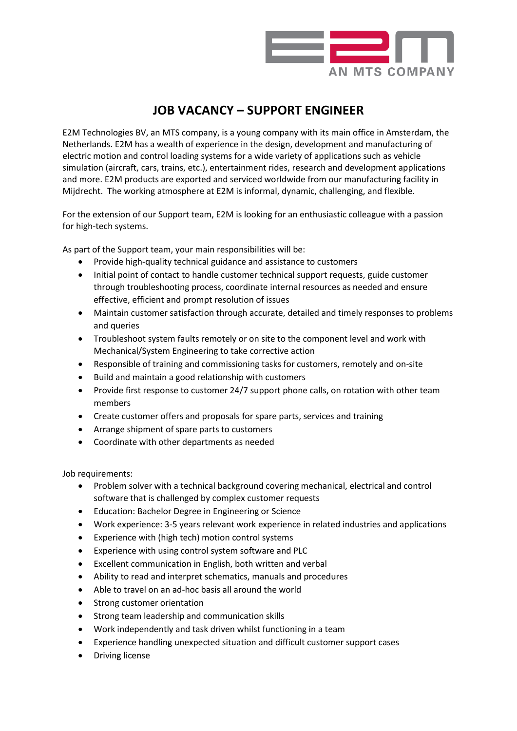

## **JOB VACANCY – SUPPORT ENGINEER**

E2M Technologies BV, an MTS company, is a young company with its main office in Amsterdam, the Netherlands. E2M has a wealth of experience in the design, development and manufacturing of electric motion and control loading systems for a wide variety of applications such as vehicle simulation (aircraft, cars, trains, etc.), entertainment rides, research and development applications and more. E2M products are exported and serviced worldwide from our manufacturing facility in Mijdrecht. The working atmosphere at E2M is informal, dynamic, challenging, and flexible.

For the extension of our Support team, E2M is looking for an enthusiastic colleague with a passion for high-tech systems.

As part of the Support team, your main responsibilities will be:

- Provide high-quality technical guidance and assistance to customers
- Initial point of contact to handle customer technical support requests, guide customer through troubleshooting process, coordinate internal resources as needed and ensure effective, efficient and prompt resolution of issues
- Maintain customer satisfaction through accurate, detailed and timely responses to problems and queries
- Troubleshoot system faults remotely or on site to the component level and work with Mechanical/System Engineering to take corrective action
- Responsible of training and commissioning tasks for customers, remotely and on-site
- Build and maintain a good relationship with customers
- Provide first response to customer 24/7 support phone calls, on rotation with other team members
- Create customer offers and proposals for spare parts, services and training
- Arrange shipment of spare parts to customers
- Coordinate with other departments as needed

Job requirements:

- Problem solver with a technical background covering mechanical, electrical and control software that is challenged by complex customer requests
- Education: Bachelor Degree in Engineering or Science
- Work experience: 3-5 years relevant work experience in related industries and applications
- Experience with (high tech) motion control systems
- Experience with using control system software and PLC
- Excellent communication in English, both written and verbal
- Ability to read and interpret schematics, manuals and procedures
- Able to travel on an ad-hoc basis all around the world
- Strong customer orientation
- Strong team leadership and communication skills
- Work independently and task driven whilst functioning in a team
- Experience handling unexpected situation and difficult customer support cases
- Driving license